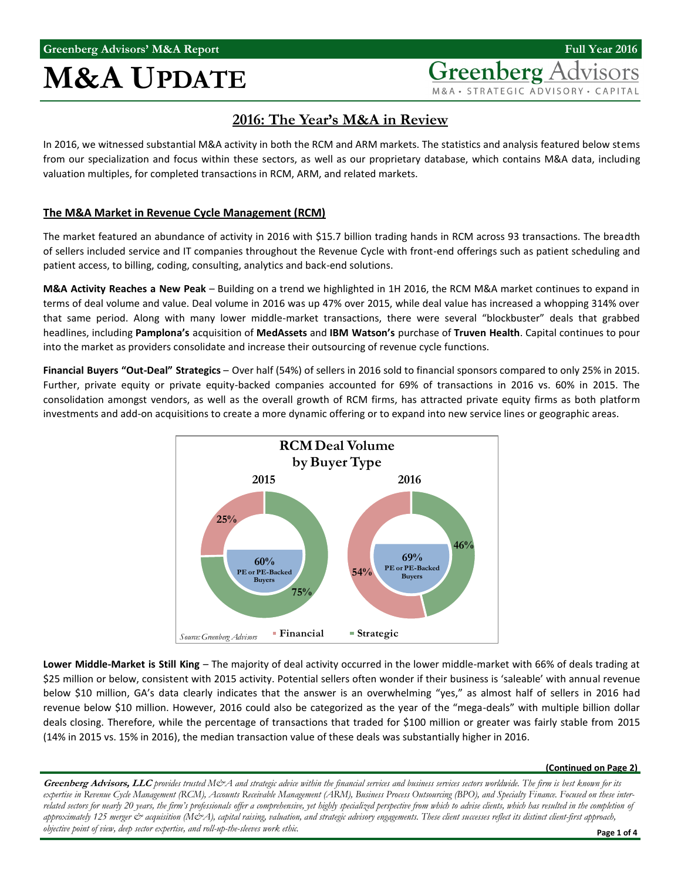## **M&A UPDATE**

**Greenberg** A M&A · STRATEGIC ADVISORY · CAPITAL

## **2016: The Year's M&A in Review**

In 2016, we witnessed substantial M&A activity in both the RCM and ARM markets. The statistics and analysis featured below stems from our specialization and focus within these sectors, as well as our proprietary database, which contains M&A data, including valuation multiples, for completed transactions in RCM, ARM, and related markets.

### **The M&A Market in Revenue Cycle Management (RCM)**

The market featured an abundance of activity in 2016 with \$15.7 billion trading hands in RCM across 93 transactions. The breadth of sellers included service and IT companies throughout the Revenue Cycle with front-end offerings such as patient scheduling and patient access, to billing, coding, consulting, analytics and back-end solutions.

**M&A Activity Reaches a New Peak** – Building on a trend we highlighted in 1H 2016, the RCM M&A market continues to expand in terms of deal volume and value. Deal volume in 2016 was up 47% over 2015, while deal value has increased a whopping 314% over that same period. Along with many lower middle-market transactions, there were several "blockbuster" deals that grabbed headlines, including **Pamplona's** acquisition of **MedAssets** and **IBM Watson's** purchase of **Truven Health**. Capital continues to pour into the market as providers consolidate and increase their outsourcing of revenue cycle functions.

**Financial Buyers "Out-Deal" Strategics** – Over half (54%) of sellers in 2016 sold to financial sponsors compared to only 25% in 2015. Further, private equity or private equity-backed companies accounted for 69% of transactions in 2016 vs. 60% in 2015. The consolidation amongst vendors, as well as the overall growth of RCM firms, has attracted private equity firms as both platform investments and add-on acquisitions to create a more dynamic offering or to expand into new service lines or geographic areas.



**Lower Middle-Market is Still King** – The majority of deal activity occurred in the lower middle-market with 66% of deals trading at \$25 million or below, consistent with 2015 activity. Potential sellers often wonder if their business is 'saleable' with annual revenue below \$10 million, GA's data clearly indicates that the answer is an overwhelming "yes," as almost half of sellers in 2016 had revenue below \$10 million. However, 2016 could also be categorized as the year of the "mega-deals" with multiple billion dollar deals closing. Therefore, while the percentage of transactions that traded for \$100 million or greater was fairly stable from 2015 (14% in 2015 vs. 15% in 2016), the median transaction value of these deals was substantially higher in 2016.

#### **(Continued on Page 2)**

Greenberg Advisors, LLC provides trusted M&A and strategic advice within the financial services and business services sectors worldwide. The firm is best known for its *expertise in Revenue Cycle Management (RCM), Accounts Receivable Management (ARM), Business Process Outsourcing (BPO), and Specialty Finance. Focused on these inter*related sectors for nearly 20 years, the firm's professionals offer a comprehensive, yet highly specialized perspective from which to advise clients, which has resulted in the completion of *approximately 125 merger & acquisition (M&A), capital raising, valuation, and strategic advisory engagements. These client successes reflect its distinct client-first approach, objective point of view, deep sector expertise, and roll-up-the-sleeves work ethic.*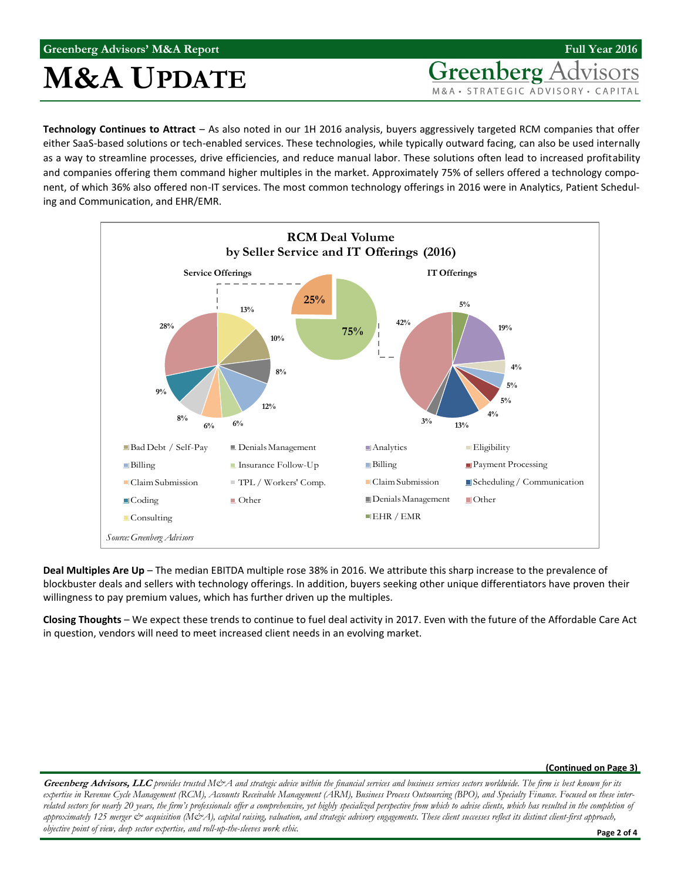## **Greenberg Advisors' M&A Report**

## **M&A UPDATE**

**Greenberg** A M&A · STRATEGIC ADVISORY · CAPITAL

**Full Year 2016**

**Technology Continues to Attract** – As also noted in our 1H 2016 analysis, buyers aggressively targeted RCM companies that offer either SaaS-based solutions or tech-enabled services. These technologies, while typically outward facing, can also be used internally as a way to streamline processes, drive efficiencies, and reduce manual labor. These solutions often lead to increased profitability and companies offering them command higher multiples in the market. Approximately 75% of sellers offered a technology component, of which 36% also offered non-IT services. The most common technology offerings in 2016 were in Analytics, Patient Scheduling and Communication, and EHR/EMR.



**Deal Multiples Are Up** – The median EBITDA multiple rose 38% in 2016. We attribute this sharp increase to the prevalence of blockbuster deals and sellers with technology offerings. In addition, buyers seeking other unique differentiators have proven their willingness to pay premium values, which has further driven up the multiples.

**Closing Thoughts** – We expect these trends to continue to fuel deal activity in 2017. Even with the future of the Affordable Care Act in question, vendors will need to meet increased client needs in an evolving market.

#### **(Continued on Page 3)**

Greenberg Advisors, LLC provides trusted M&A and strategic advice within the financial services and business services sectors worldwide. The firm is best known for its *expertise in Revenue Cycle Management (RCM), Accounts Receivable Management (ARM), Business Process Outsourcing (BPO), and Specialty Finance. Focused on these inter*related sectors for nearly 20 years, the firm's professionals offer a comprehensive, yet highly specialized perspective from which to advise clients, which has resulted in the completion of *approximately 125 merger & acquisition (M&A), capital raising, valuation, and strategic advisory engagements. These client successes reflect its distinct client-first approach, objective point of view, deep sector expertise, and roll-up-the-sleeves work ethic.*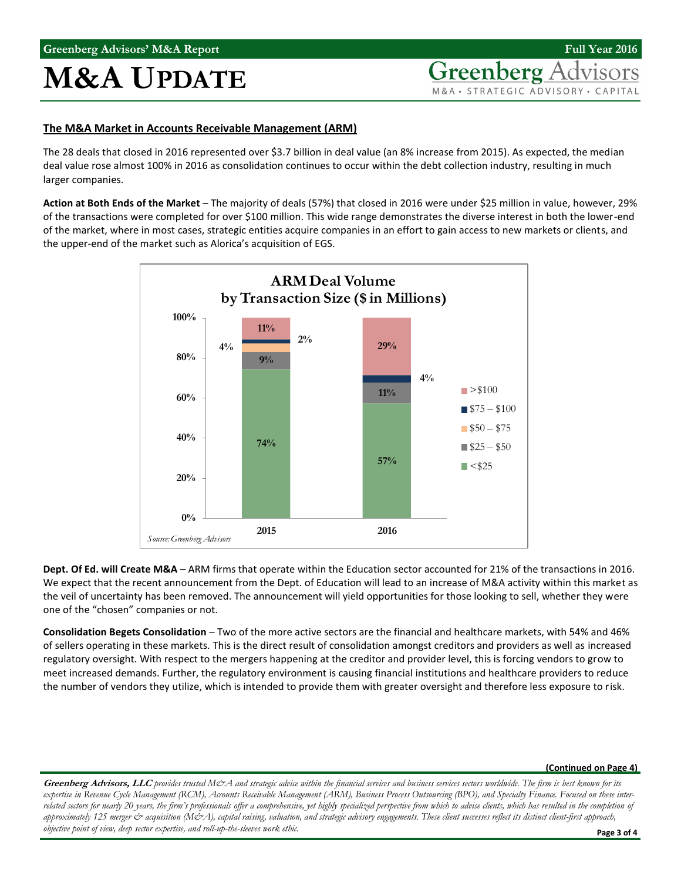# **M&A UPDATE**

Greenberg A M&A · STRATEGIC ADVISORY · CAPITAL

### **The M&A Market in Accounts Receivable Management (ARM)**

The 28 deals that closed in 2016 represented over \$3.7 billion in deal value (an 8% increase from 2015). As expected, the median deal value rose almost 100% in 2016 as consolidation continues to occur within the debt collection industry, resulting in much larger companies.

**Action at Both Ends of the Market** – The majority of deals (57%) that closed in 2016 were under \$25 million in value, however, 29% of the transactions were completed for over \$100 million. This wide range demonstrates the diverse interest in both the lower-end of the market, where in most cases, strategic entities acquire companies in an effort to gain access to new markets or clients, and the upper-end of the market such as Alorica's acquisition of EGS.



**Dept. Of Ed. will Create M&A** – ARM firms that operate within the Education sector accounted for 21% of the transactions in 2016. We expect that the recent announcement from the Dept. of Education will lead to an increase of M&A activity within this market as the veil of uncertainty has been removed. The announcement will yield opportunities for those looking to sell, whether they were one of the "chosen" companies or not.

**Consolidation Begets Consolidation** – Two of the more active sectors are the financial and healthcare markets, with 54% and 46% of sellers operating in these markets. This is the direct result of consolidation amongst creditors and providers as well as increased regulatory oversight. With respect to the mergers happening at the creditor and provider level, this is forcing vendors to grow to meet increased demands. Further, the regulatory environment is causing financial institutions and healthcare providers to reduce the number of vendors they utilize, which is intended to provide them with greater oversight and therefore less exposure to risk.

#### **(Continued on Page 4)**

Greenberg Advisors, LLC provides trusted M&A and strategic advice within the financial services and business services sectors worldwide. The firm is best known for its *expertise in Revenue Cycle Management (RCM), Accounts Receivable Management (ARM), Business Process Outsourcing (BPO), and Specialty Finance. Focused on these inter*related sectors for nearly 20 years, the firm's professionals offer a comprehensive, yet highly specialized perspective from which to advise clients, which has resulted in the completion of *approximately 125 merger & acquisition (M&A), capital raising, valuation, and strategic advisory engagements. These client successes reflect its distinct client-first approach, objective point of view, deep sector expertise, and roll-up-the-sleeves work ethic.*